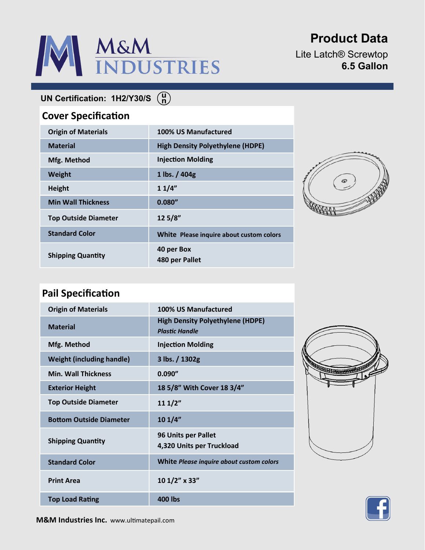# M&M<br>INDUSTRIES

# **Product Data**

Lite Latch® Screwtop **6.5 Gallon**

**UN Certification: 1H2/Y30/S**

### **Cover Specification**

| <b>Origin of Materials</b>  | 100% US Manufactured                     |
|-----------------------------|------------------------------------------|
| <b>Material</b>             | <b>High Density Polyethylene (HDPE)</b>  |
| Mfg. Method                 | <b>Injection Molding</b>                 |
| Weight                      | 1 lbs. $/ 404g$                          |
| <b>Height</b>               | 11/4"                                    |
| <b>Min Wall Thickness</b>   | 0.080''                                  |
| <b>Top Outside Diameter</b> | 12 5/8"                                  |
| <b>Standard Color</b>       | White Please inquire about custom colors |
| <b>Shipping Quantity</b>    | 40 per Box<br>480 per Pallet             |



## **Pail Specification**

| <b>Origin of Materials</b>       | 100% US Manufactured                                             |
|----------------------------------|------------------------------------------------------------------|
| <b>Material</b>                  | <b>High Density Polyethylene (HDPE)</b><br><b>Plastic Handle</b> |
| Mfg. Method                      | <b>Injection Molding</b>                                         |
| <b>Weight (including handle)</b> | 3 lbs. / 1302g                                                   |
| <b>Min. Wall Thickness</b>       | 0.090''                                                          |
| <b>Exterior Height</b>           | 18 5/8" With Cover 18 3/4"                                       |
| <b>Top Outside Diameter</b>      | 111/2"                                                           |
| <b>Bottom Outside Diameter</b>   | 101/4"                                                           |
| <b>Shipping Quantity</b>         | <b>96 Units per Pallet</b><br>4,320 Units per Truckload          |
| <b>Standard Color</b>            | White Please inquire about custom colors                         |
| <b>Print Area</b>                | 10 1/2" x 33"                                                    |
| <b>Top Load Rating</b>           | 400 lbs                                                          |